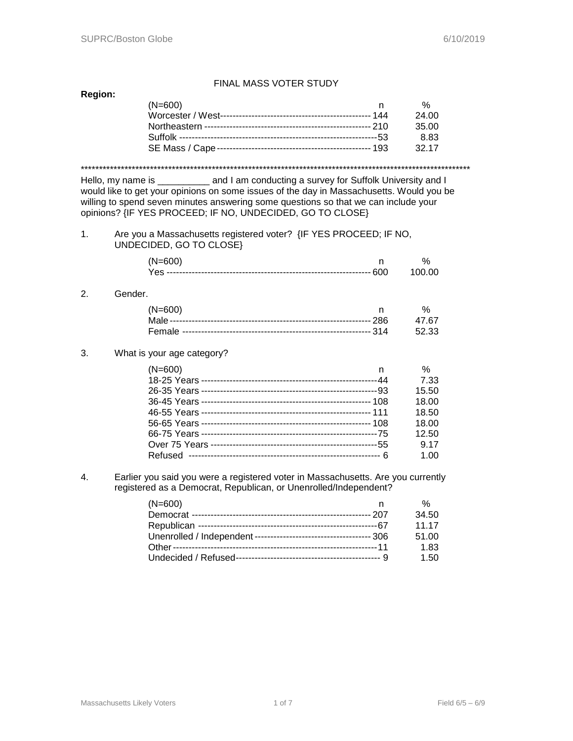## FINAL MASS VOTER STUDY

## **Region:**

| $(N=600)$ |       |
|-----------|-------|
|           | 24.00 |
|           | 35.00 |
|           | 8.83  |
|           | 32 17 |
|           |       |

\*\*\*\*\*\*\*\*\*\*\*\*\*\*\*\*\*\*\*\*\*\*\*\*\*\*\*\*\*\*\*\*\*\*\*\*\*\*\*\*\*\*\*\*\*\*\*\*\*\*\*\*\*\*\*\*\*\*\*\*\*\*\*\*\*\*\*\*\*\*\*\*\*\*\*\*\*\*\*\*\*\*\*\*\*\*\*\*\*\*\*\*\*\*\*\*\*\*\*\*\*\*\*\*\*\*\*

Hello, my name is \_\_\_\_\_\_\_\_\_\_ and I am conducting a survey for Suffolk University and I would like to get your opinions on some issues of the day in Massachusetts. Would you be willing to spend seven minutes answering some questions so that we can include your opinions? {IF YES PROCEED; IF NO, UNDECIDED, GO TO CLOSE}

#### 1. Are you a Massachusetts registered voter? {IF YES PROCEED; IF NO, UNDECIDED, GO TO CLOSE}

| $(N=600)$ |        |
|-----------|--------|
|           | 100 00 |

## 2. Gender.

| $(N=600)$ | n % |
|-----------|-----|
|           |     |
|           |     |

#### 3. What is your age category?

| $(N=600)$ | n | $\%$  |
|-----------|---|-------|
|           |   | 7.33  |
|           |   | 15.50 |
|           |   | 18.00 |
|           |   | 18.50 |
|           |   | 18.00 |
|           |   | 12.50 |
|           |   | 9 1 7 |
|           | 6 | 1.00  |

4. Earlier you said you were a registered voter in Massachusetts. Are you currently registered as a Democrat, Republican, or Unenrolled/Independent?

| $(N=600)$ | %     |
|-----------|-------|
|           | 34.50 |
|           | 11 17 |
|           | 51.00 |
|           | 1.83  |
|           | 1.50  |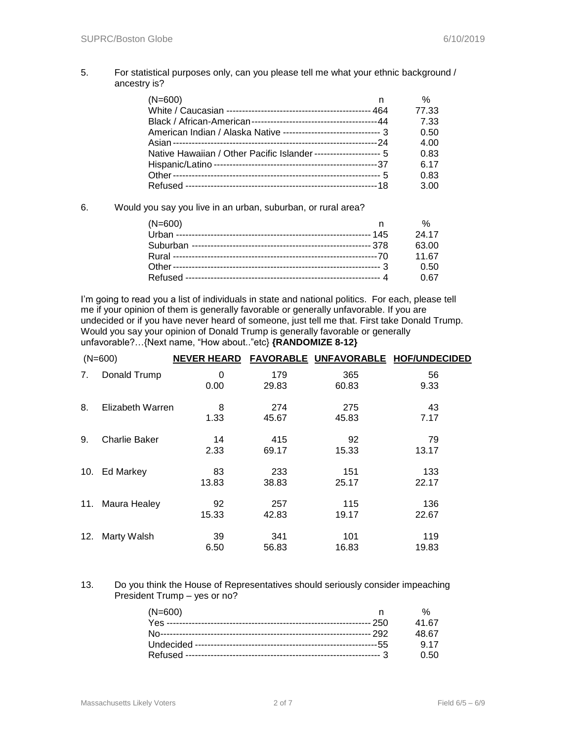### 5. For statistical purposes only, can you please tell me what your ethnic background / ancestry is?

| $(N=600)$<br>n                                                      | %     |
|---------------------------------------------------------------------|-------|
|                                                                     | 77.33 |
|                                                                     | 7.33  |
| American Indian / Alaska Native --------------------------------- 3 | 0.50  |
|                                                                     | 4.00  |
| Native Hawaiian / Other Pacific Islander ---------------------- 5   | 0.83  |
|                                                                     | 6.17  |
|                                                                     | 0.83  |
|                                                                     | 3.00  |

6. Would you say you live in an urban, suburban, or rural area?

| $(N=600)$ | %     |
|-----------|-------|
|           | 24 17 |
|           | 63.00 |
|           | 11.67 |
|           | 0.50  |
|           | 0 67  |

I'm going to read you a list of individuals in state and national politics. For each, please tell me if your opinion of them is generally favorable or generally unfavorable. If you are undecided or if you have never heard of someone, just tell me that. First take Donald Trump. Would you say your opinion of Donald Trump is generally favorable or generally unfavorable?…{Next name, "How about.."etc} **{RANDOMIZE 8-12}**

|                | $(N=600)$        | <b>NEVER HEARD</b> |              |              | FAVORABLE UNFAVORABLE HOF/UNDECIDED |
|----------------|------------------|--------------------|--------------|--------------|-------------------------------------|
| 7 <sub>1</sub> | Donald Trump     | 0<br>0.00          | 179<br>29.83 | 365<br>60.83 | 56<br>9.33                          |
| 8.             | Elizabeth Warren | 8<br>1.33          | 274<br>45.67 | 275<br>45.83 | 43<br>7.17                          |
| 9.             | Charlie Baker    | 14<br>2.33         | 415<br>69.17 | 92<br>15.33  | 79<br>13.17                         |
| 10.            | <b>Ed Markey</b> | 83<br>13.83        | 233<br>38.83 | 151<br>25.17 | 133<br>22.17                        |
| 11.            | Maura Healey     | 92<br>15.33        | 257<br>42.83 | 115<br>19.17 | 136<br>22.67                        |
| 12.            | Marty Walsh      | 39<br>6.50         | 341<br>56.83 | 101<br>16.83 | 119<br>19.83                        |

#### 13. Do you think the House of Representatives should seriously consider impeaching President Trump – yes or no?

| $(N=600)$ | $\frac{0}{6}$ |
|-----------|---------------|
|           | 41.67         |
|           | 48.67         |
|           | 9.17          |
|           | O 50          |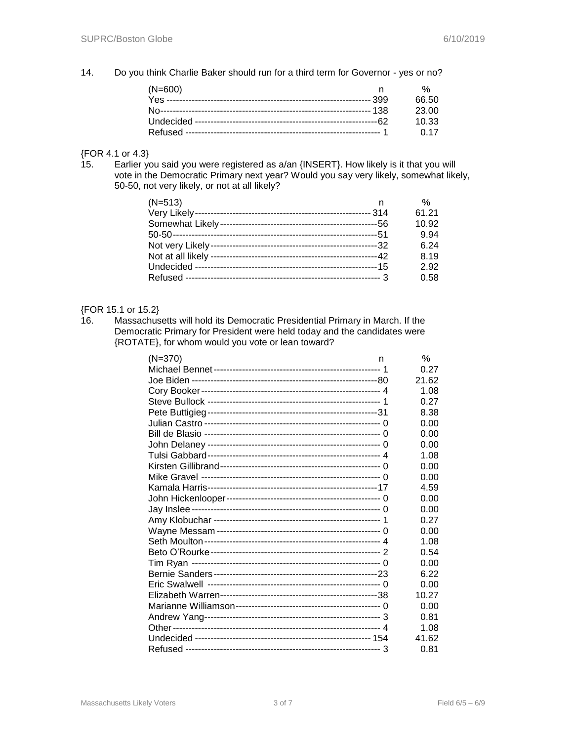14. Do you think Charlie Baker should run for a third term for Governor - yes or no?

| $(N=600)$ |       |
|-----------|-------|
|           | 66.50 |
|           | 23.00 |
|           | 10.33 |
|           | 0.17  |

## ${FOR 4.1 or 4.3}$ <br>15. Earlier yo

Earlier you said you were registered as a/an {INSERT}. How likely is it that you will vote in the Democratic Primary next year? Would you say very likely, somewhat likely, 50-50, not very likely, or not at all likely?

| $(N=513)$ | %     |
|-----------|-------|
|           | 61.21 |
|           | 10.92 |
|           | 9.94  |
|           | 6.24  |
|           | 8.19  |
|           | 2.92  |
|           | 0.58  |

## {FOR 15.1 or 15.2}

16. Massachusetts will hold its Democratic Presidential Primary in March. If the Democratic Primary for President were held today and the candidates were {ROTATE}, for whom would you vote or lean toward?

| $(N=370)$ | n | $\%$  |
|-----------|---|-------|
|           |   | 0.27  |
|           |   | 21.62 |
|           |   | 1.08  |
|           |   | 0.27  |
|           |   | 8.38  |
|           |   | 0.00  |
|           |   | 0.00  |
|           |   | 0.00  |
|           |   | 1.08  |
|           |   | 0.00  |
|           |   | 0.00  |
|           |   | 4.59  |
|           |   | 0.00  |
|           |   | 0.00  |
|           |   | 0.27  |
|           |   | 0.00  |
|           |   | 1.08  |
|           |   | 0.54  |
|           |   | 0.00  |
|           |   | 6.22  |
|           |   | 0.00  |
|           |   | 10.27 |
|           |   | 0.00  |
|           |   | 0.81  |
|           |   | 1.08  |
|           |   | 41.62 |
|           |   | 0.81  |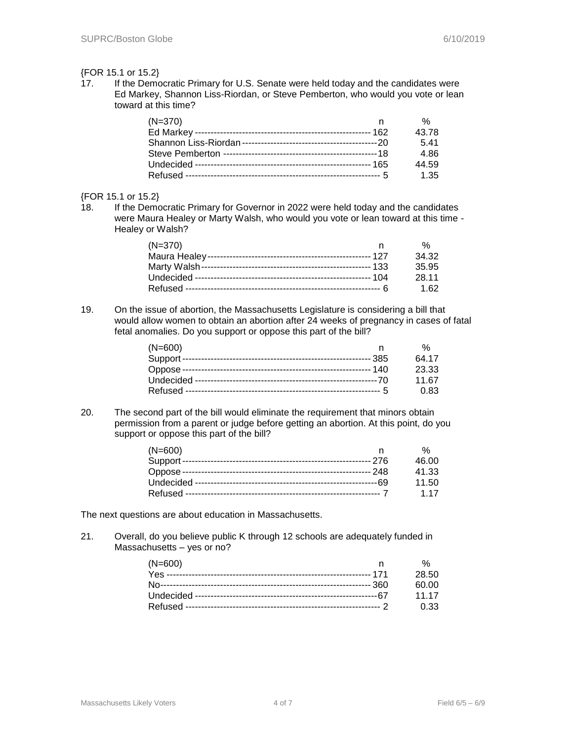#### {FOR 15.1 or 15.2}

17. If the Democratic Primary for U.S. Senate were held today and the candidates were Ed Markey, Shannon Liss-Riordan, or Steve Pemberton, who would you vote or lean toward at this time?

| $(N=370)$ |       |
|-----------|-------|
|           | 43.78 |
|           | 541   |
|           | 4.86  |
|           | 44.59 |
|           | 1.35  |

#### {FOR 15.1 or 15.2}

18. If the Democratic Primary for Governor in 2022 were held today and the candidates were Maura Healey or Marty Walsh, who would you vote or lean toward at this time - Healey or Walsh?

| (N=370) | %     |
|---------|-------|
|         | 34.32 |
|         | 35.95 |
|         | 28 11 |
|         | 1 62  |

19. On the issue of abortion, the Massachusetts Legislature is considering a bill that would allow women to obtain an abortion after 24 weeks of pregnancy in cases of fatal fetal anomalies. Do you support or oppose this part of the bill?

| $(N=600)$ | %     |
|-----------|-------|
|           | 64.17 |
|           | 23.33 |
|           | 11.67 |
|           | 0.83  |

20. The second part of the bill would eliminate the requirement that minors obtain permission from a parent or judge before getting an abortion. At this point, do you support or oppose this part of the bill?

| $(N=600)$ |       |
|-----------|-------|
|           | 46.00 |
|           | 41.33 |
|           | 11.50 |
|           | 1 17  |

The next questions are about education in Massachusetts.

21. Overall, do you believe public K through 12 schools are adequately funded in Massachusetts – yes or no?

| $(N=600)$ |       |
|-----------|-------|
|           | 28.50 |
|           | 60.OO |
|           | 11 17 |
|           | 0.33  |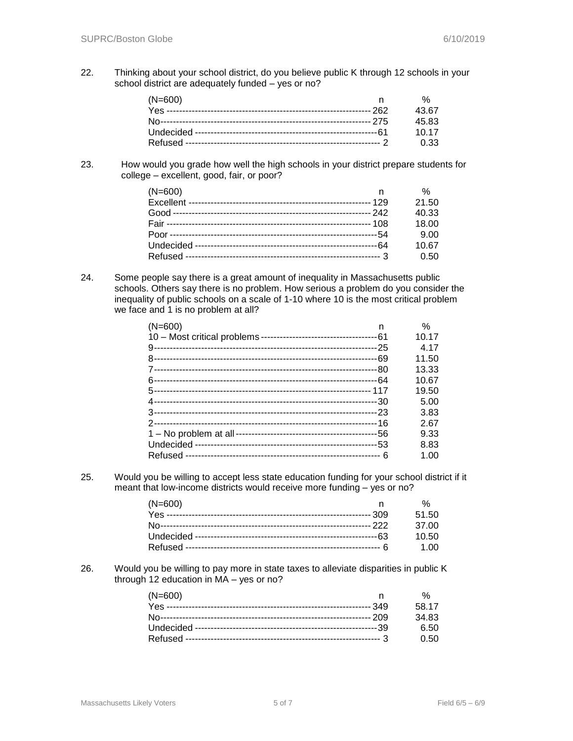22. Thinking about your school district, do you believe public K through 12 schools in your school district are adequately funded – yes or no?

| $(N=600)$ |             |
|-----------|-------------|
|           | 43.67       |
|           | 45.83       |
|           | 10 17       |
|           | <u>በ 33</u> |

23. How would you grade how well the high schools in your district prepare students for college – excellent, good, fair, or poor?

| $(N=600)$ |     | $\%$  |
|-----------|-----|-------|
|           | 129 | 21.50 |
|           |     | 40.33 |
|           |     | 18.00 |
|           |     | 9.00  |
|           |     | 10.67 |
|           |     | 0.50  |

24. Some people say there is a great amount of inequality in Massachusetts public schools. Others say there is no problem. How serious a problem do you consider the inequality of public schools on a scale of 1-10 where 10 is the most critical problem we face and 1 is no problem at all?

| $(N=600)$ | n   | ℅     |
|-----------|-----|-------|
|           |     | 10.17 |
|           |     | 4.17  |
|           | -69 | 11.50 |
|           |     | 13.33 |
|           |     | 10.67 |
|           |     | 19.50 |
|           |     | 5.00  |
|           |     | 3.83  |
|           |     | 2.67  |
|           |     | 9.33  |
|           |     | 8.83  |
|           |     | 1.00  |
|           |     |       |

25. Would you be willing to accept less state education funding for your school district if it meant that low-income districts would receive more funding – yes or no?

| $(N=600)$ |       |
|-----------|-------|
|           | 51.50 |
|           | 37.00 |
|           | 10.50 |
|           | 1 Q Q |

26. Would you be willing to pay more in state taxes to alleviate disparities in public K through 12 education in MA – yes or no?

| $(N=600)$ |       |
|-----------|-------|
|           | 58 17 |
|           | 34 83 |
|           | 6.50  |
|           | 0.50  |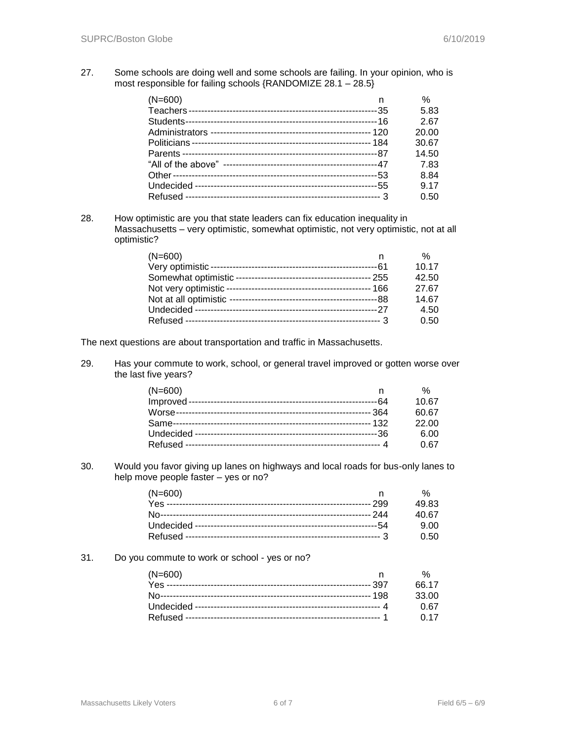27. Some schools are doing well and some schools are failing. In your opinion, who is most responsible for failing schools {RANDOMIZE 28.1 – 28.5}

| $(N=600)$ | n | %     |
|-----------|---|-------|
|           |   | 5.83  |
| Students- |   | 2.67  |
|           |   | 20.00 |
|           |   | 30.67 |
|           |   | 14.50 |
|           |   | 7.83  |
|           |   | 8.84  |
|           |   | 9.17  |
|           |   | 0.50  |

28. How optimistic are you that state leaders can fix education inequality in Massachusetts – very optimistic, somewhat optimistic, not very optimistic, not at all optimistic?

| $(N=600)$ | $\%$  |
|-----------|-------|
|           | 10.17 |
|           | 42.50 |
|           | 27.67 |
|           | 14.67 |
|           | 4.50  |
|           | 0.50  |

The next questions are about transportation and traffic in Massachusetts.

29. Has your commute to work, school, or general travel improved or gotten worse over the last five years?

| $(N=600)$ | %     |
|-----------|-------|
|           | 10.67 |
|           | 60.67 |
|           | 22.00 |
|           | 6.00  |
|           | 0.67  |

30. Would you favor giving up lanes on highways and local roads for bus-only lanes to help move people faster – yes or no?

| $(N=600)$ |       |
|-----------|-------|
|           | 49.83 |
|           | 40 67 |
|           | 9. NO |
|           | O 50  |

#### 31. Do you commute to work or school - yes or no?

| $(N=600)$ |             |
|-----------|-------------|
|           | 66 17       |
|           | 33.00       |
|           | <u>በ 67</u> |
|           | በ 17        |